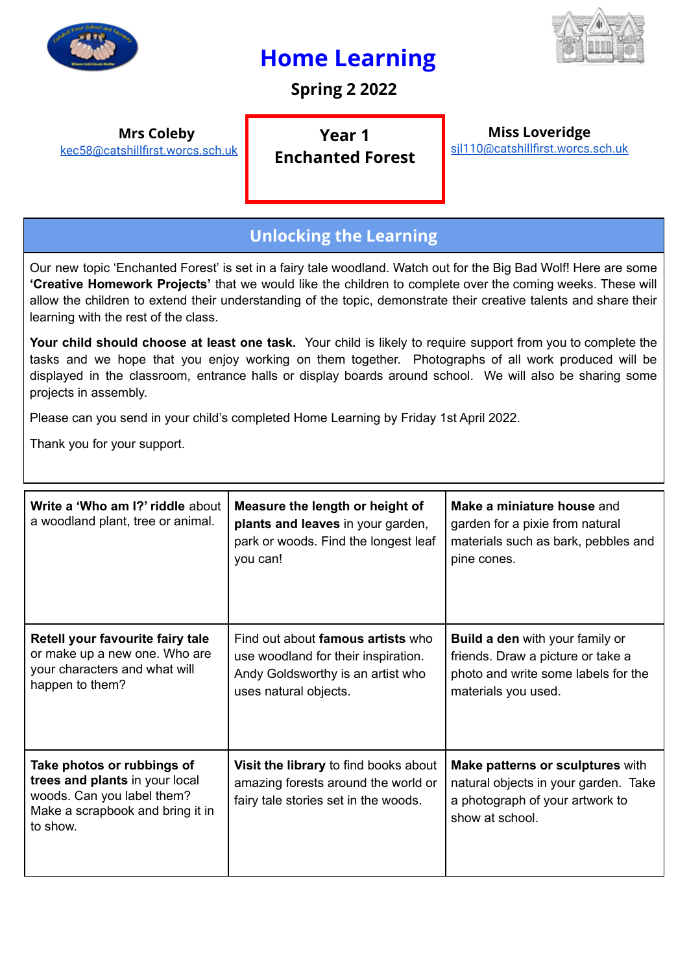

## **Home Learning**



**Spring 2 2022**

**Mrs Coleby**

[kec58@catshillfirst.worcs.sch.uk](mailto:kec58@catshillfirst.worcs.sch.uk)

**Year 1 Enchanted Forest**

**Miss Loveridge** [sjl110@catshillfirst.worcs.sch.uk](mailto:sjl110@catshillfirst.worcs.sch.uk)

## **Unlocking the Learning**

Our new topic 'Enchanted Forest' is set in a fairy tale woodland. Watch out for the Big Bad Wolf! Here are some **'Creative Homework Projects'** that we would like the children to complete over the coming weeks. These will allow the children to extend their understanding of the topic, demonstrate their creative talents and share their learning with the rest of the class.

**Your child should choose at least one task.** Your child is likely to require support from you to complete the tasks and we hope that you enjoy working on them together. Photographs of all work produced will be displayed in the classroom, entrance halls or display boards around school. We will also be sharing some projects in assembly.

Please can you send in your child's completed Home Learning by Friday 1st April 2022.

Thank you for your support.

| Write a 'Who am I?' riddle about<br>a woodland plant, tree or animal.                                                                      | Measure the length or height of<br>plants and leaves in your garden,<br>park or woods. Find the longest leaf<br>you can!               | Make a miniature house and<br>garden for a pixie from natural<br>materials such as bark, pebbles and<br>pine cones.                       |
|--------------------------------------------------------------------------------------------------------------------------------------------|----------------------------------------------------------------------------------------------------------------------------------------|-------------------------------------------------------------------------------------------------------------------------------------------|
| Retell your favourite fairy tale<br>or make up a new one. Who are<br>your characters and what will<br>happen to them?                      | Find out about famous artists who<br>use woodland for their inspiration.<br>Andy Goldsworthy is an artist who<br>uses natural objects. | <b>Build a den</b> with your family or<br>friends. Draw a picture or take a<br>photo and write some labels for the<br>materials you used. |
| Take photos or rubbings of<br>trees and plants in your local<br>woods. Can you label them?<br>Make a scrapbook and bring it in<br>to show. | Visit the library to find books about<br>amazing forests around the world or<br>fairy tale stories set in the woods.                   | Make patterns or sculptures with<br>natural objects in your garden. Take<br>a photograph of your artwork to<br>show at school.            |